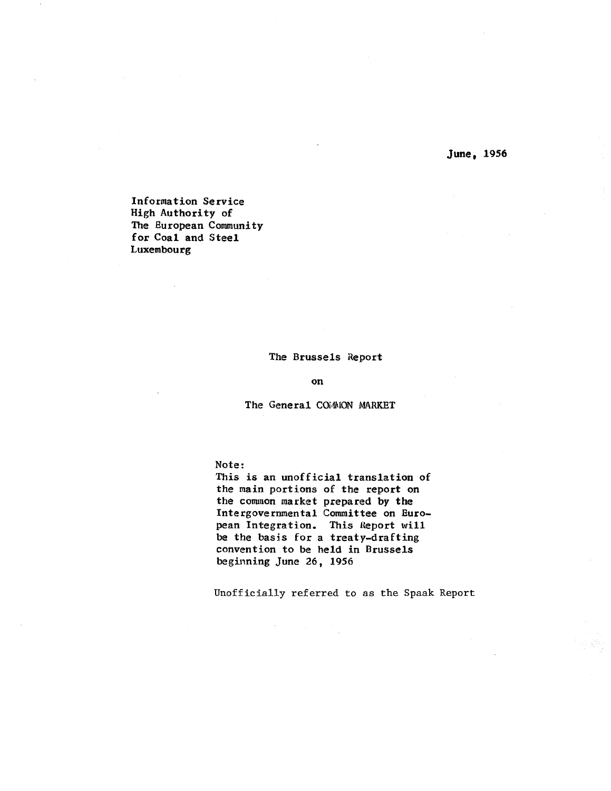June, 1956

Information Service High Authority of The European Community for Coal and Steel **Luxembourg** 

# The Brussels Report

on

The General COMMON MARKET

Note:

This is an unofficial translation of the main portions of the report on the comnon market prepared by the Intergovernmental Committee on European Integration. This Heport will be the basis for a treaty-drafting convention to be held in Brussels beginning June 26 , 1956

Unofficially referred to as the Spaak Report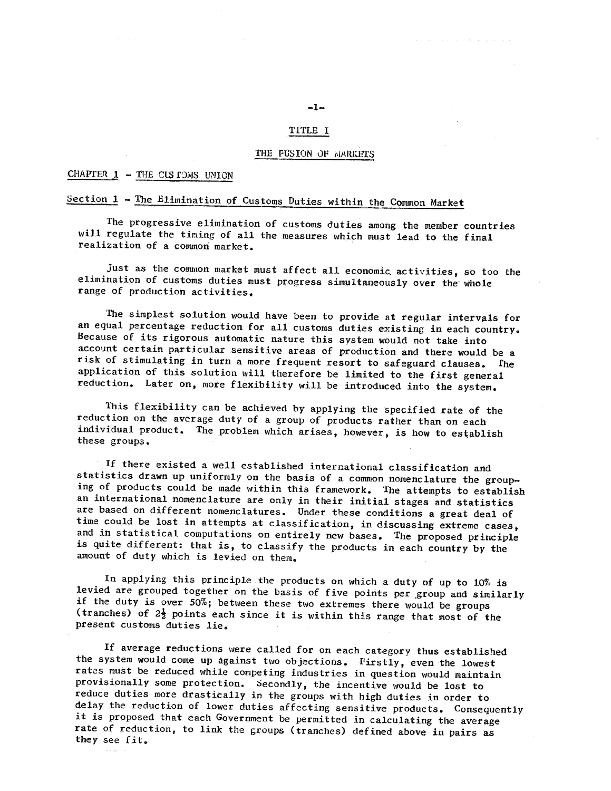#### TiTLE I

#### THE FUSION OF MARKETS

#### CHAPTER  $1$  - THE CLS FOMS UNION

# Section 1 - The Elimination of Customs Duties within the Common Market

The progressive elimination of customs duties among the member countries will regulate the timing of all the measures which must lead to the final realization of a common market.

Just as the common market must affect all economic activities, so too the elimination of customs duties must progress simultaneously over the whole range of production activities.

The simplest solution would have been to provide at regular intervals for an equal percentage reduction for all customs duties existing in each country. Because of its rigorous automatic nature this system would not take into account certain particular sensitive areas of production and there would be a risk of stimulating in turn a more frequent resort to safeguard clauses. fhe application of this solution will therefore be limited to the first general reduction. Later on, more flexibility will be introduced into the system.

This flexibility can be achieved by applying the specified rate of the reduction on the average duty of a group of products rather than on each individual product. The problem which arises, however, is how to establish these groups.

If there existed a well established international classification and statistics drawn up uniformly on the basis of a common nomenclature the group-<br>ing of products could be made within this framework. The attempts to establish<br>an international nomenclature are only in their initial stages a are based on different nomenclatures. Under these conditions a great deal of time could be lost in attempts at classification, in discussing extreme cases, and ih statistical computations on entirely new bases. The proposed principle is quite different: that is, to classify the products in each country by the amount of duty which is levied on them.

In applying this principle the products on which a duty of up to 10% is<br>levied are grouped together on the basis of five points per group and similarly<br>if the duty is over 50%; between these two extremes there would be gro (tranches) of  $2\frac{1}{2}$  points each since it is within this range that most of the present customs duties lie.

If average reductions were called for on each category thus established the system would come up against two objections. Firstly, even the lowest rates must be reduced while competing industries in question would maintain provisionally some protection. Secondly, the incentive would be lost to reduce duties more drastically in the groups with high duties in order to delay the reduction of lower duties affecting sensitive products. Consequently it is proposed that each Government be permitted in calculating the average rate of reduction, to link the groups (tranches) defined above in pairs as they see fit.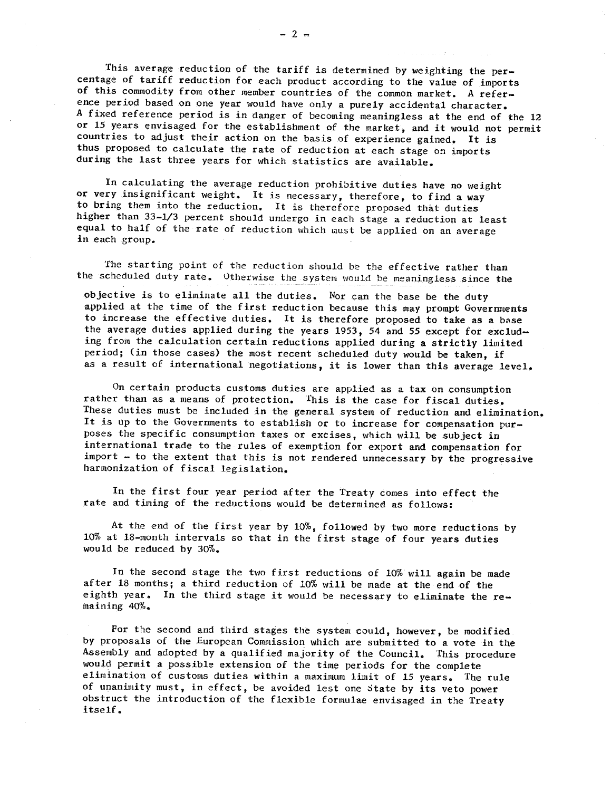This average reduction of the tariff is determined by weighting the percentage of tariff reduction for each product according to the value of imports of this commodity from other member countries of the common market. A reference period based on one year would have only a purely accidental character. A fixed reference period is in danger of becoming meaningless at the end of the l2 or 15 years envisaged for the establishment of the market, and it would not permit countries to adjust their action on the basis of experience gained. It is thus proposed to calculate the rate of reduction at each stage on imports during the last three years for which statistics are available.

In calculating the average reduction prohibitive duties have no weight or very insignificant weight. It is necessary, therefore, to find a way to bring them into the reduction. It is therefore proposed that duties higher than 33-1/3 percent should undergo in each stage a reduction at least equal to half of the rate of reduction which must be applied on an average in each group.

The starting point of the reduction should be the effective rather than the scheduled duty rate. Utherwise the system would be meaningless since the

objective is to eliminate all the duties. Nor can the base be the duty applied at the time of the first reduction because this may prompt Governments to increase the effective duties. It is therefore proposed to take as a base<br>the average duties applied during the years 1953, 54 and 55 except for excluding from the calculation certain reductions applied during a strictly limited period; (in those cases) the most recent scheduled duty would be taken, if as a result of international negotiations, it is lower than this average level.

On certain products customs duties are applied as a tax on consumption rather than as a means of protection. This is the case for fiscal duties. These duties must be included in the general system of reduction and elimination. It is up to the Governments to establish or to increase for compensation purposes the specific consumption taxes or excises, which will be subject in international trade to the rules of exemption for export and compensation for  $import - to the extent that this is not rendered unnecessary by the progressive$ harmonization of fiscal legislation.

In the first four year period after the Treaty comes into effect the rate and timing of the reductions would be determined as follows:

At the end of the first year by 10%, followed by two more reductions by 10% at 18-month intervals so that in the first stage of four years duties would be reduced by 30%.

In the second stage the two first reductions of IO% will again be made after 18 months; a third reduction of 10% will be made at the end of the eighth year. In the third stage it would be necessary to eliminate the remaining 40%.

For the second and third stages the system could, however, be modified by proposals of the European Commission which are submitted to a vote in the Assembly and adopted by a qualified majority of the Council. This procedure would permit a possible extension of the time periods for the complete elimination of customs duties within a maximum limit of 15 years. The rule of unanimity must, in effect, be avoided lest one state by its veto power obstruct the introduction of the flexible formulae envisaged in the Treaty itself.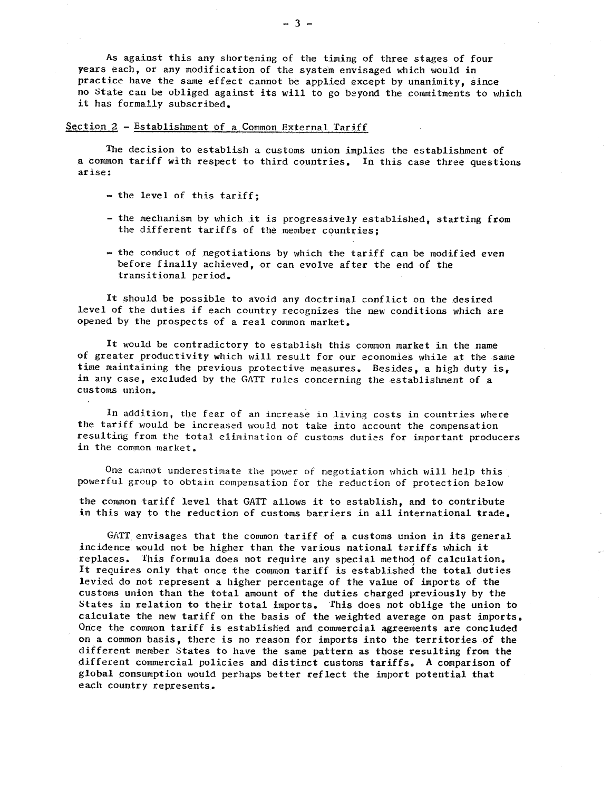As against this any shortening of the timing of three stages of four years each , or any modification of the system envisaged which would in practice have the same effect cannot be applied except by unanimity, since no State can be obliged against its will to go beyond the commitments to which it has formally subscribed.

### Section 2 - Establishment of a Common External Tariff

The decision to establish a customs union implies the establishment of a common tariff with respect to third countries. In this case three questions ar ise :

- the level of this tariff;
- the mechanism by which it is progressively established, starting from the different tariffs of the member countries;
- the conduct of negotiations by which the tariff can be modified even before finally achieved, or can evolve after the end of the transitional period.

It should be possible to avoid any doctrinal conflict on the desired level of the duties if each country recognizes the new conditions which are opened by the prospects of a real common market.

It would be contradictory to establish this common market in the name of greater productivity which will result for our economies while at the same time maintaining the previous protective measures. Besides, a high duty is, in any case, excluded by the GATT rules concerning the establishment of a cus toms union.

In addition, the fear of an increase in living costs in countries where the tariff would be increased would not take into account the compensation resulting from the total elimination of customs duties for important producers in the common market.

One cannot underestimate the power of negotiation which will help this powerful group to obtain compensation for the reduction of protection below

the common tariff level that GATT allows it to establish, and to contribute in this way to the reduction of customs barriers in all international trade.

GATT envisages that the common tariff of a customs union in its general incidence would not be higher than the various national tariffs which it replaces. This formula does not require any special method of calculation. It requires only that once the common tariff is established the total duties levied do not represent a higher percentage of the value of imports of the customs union than the total amount of the duties charged previously by the States in relation to their total imports. This does not oblige the union to calculate the new tariff on the basis of the weighted average on past imports. Once the common tariff is established and commercial agreements are concluded on a common basis, there is no reason for imports into the territories of the different member States to have the same pattern as those resulting from the different commercial policies and distinct customs tariffs. A comparison of global consumption would perhaps better reflect the import potential that each country represents.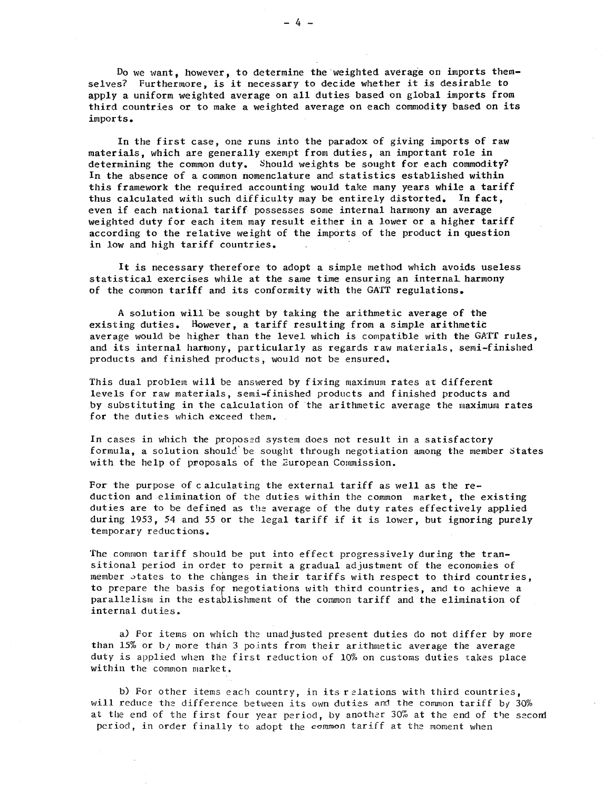Do we want, however, to determine the weighted average on imports themselves? Furthermore , is it necessary to decide whether it is desirable to apply a uniform weighted average on all duties based on global imports from third countries or to make a weighted average on each commodity based on its imports.

In the first case, one runs into the paradox of giving imports of raw materials, which are generally exempt from duties, an important role in determining the common duty. Should weights be sought for each commodity? In the absence of a common nomenclature and statistics established within this framework the required accounting would take many years while a tariff thus calculated with such difficulty may be entirely distorted. In fact, even if each national tariff possesses some internal harmony an average weighted duty for each item may result either in a lower or a higher tariff according to the relative weight of the imports of the product in question in low and high tariff countries.

It is necessary therefore to adopt a simple method which avoids useless statistical exercises while at the same time ensuring an internaL harmony of the common tariff and its conformity with the GATT regulations.

A solution will be sought by taking the arithmetic average of the existing duties. However , a tariff resulting from a simple arithmetic average would be higher than the level which is compatible with the GATT rules, and its internal harmony, particularly as regards raw materials , semi-finished products and finished products, would not be ensured.

This dual problem will be answered by fixing maximum rates at different levels for raw materials , semi-finished products and finished products and by substituting in the calculation of the arithmetic average the maximum rates for the duties which exceed them.

In cases in which the proposed system does not result in a satisfactory formula, a solution should be sought through negotiation among the member states with the help of proposals of the European Commission.

For the purpose of calculating the external tariff as well as the reduction and elimination of the duties within the common market , the existing duties are to be defined as the average of the duty rates effectively applied during 1953, 54 and 55 or the legal tariff if it is lower, but ignoring purely temporary reductions.

The common tariff should be put into effect progressively during the transitional period in ordet to permit a gradual adjustment of the economies of member states to the changes in their tariffs with respect to third countries, to prepare the basis for negotiations with third countries, and to achieve a parallelism in the establishment of the common tariff and the elimination of internal duties.

a) For items on which the unadjusted present duties do not differ by more than 15% or b<sub>/</sub> more than 3 points from their arithmetic average the average duty is applied when the first reduction of 10% on customs duties takes place within the common market.

b) For other items each country, in its relations with third countries, will reduce the difference between its own duties and the common tariff by  $30\%$ at the end of the first four year period, by another  $30\%$  at the end of the second period, in order finally to adopt the common tariff at the moment when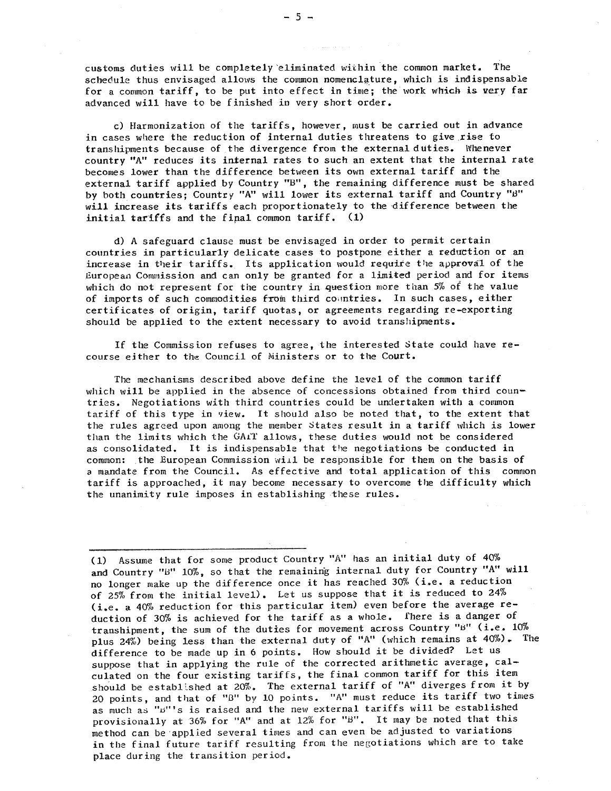customs duties will be completely eliminated within the common market. The schedule thus envisaged allows the common nomenclature which is indispensable for a common tariff, to be put into effect in time; the work which is very far advanced will have to be finished in very short order.

c) Harmonization of the tariffs, however, must be carried out in advance in cases where the reduction of internal duties threatens to give rise to transhipments because of the divergence from the external duties. Whenever country "A" reduces its internal rates to such an extent that the internal rate becomes lower than the difference between its own external tariff and the external tariff applied by Country "B", the remaining difference must be shared by both countries; Country "A" will lower its external tariff and Country "B" will increase its tariffs each proportionately to the difference between the initial tariffs and the final common tariff. (1)

d) A safeguard clause must be envisaged in order to permit certain countries in particularly delicate cases to postpone either a reduction or an increase in their tariffs. Its application would require the approval of the European Commission and can only be granted for a limited period and for items which do not represent for the country in question more than  $5%$  of the value of imports of such commodities from third countries. In such cases, either certificates of origin, tariff quotas, or agreements regarding re-exporting should be applied to the extent necessary to avoid transhipments.

If the Commiss ion refuses to agree , the interested State could have recourse either to the Council of Ministers or to the Court.

The mechanisms described above define the level of the common tariff which will be applied in the absence of concessions obtained from third coun-<br>tries. Negotiations with third countries could be undertaken with a common tariff of this type in view. It should also be noted that, to the extent that the rules agreed upon among the member States result in a tariff which is lower than the limits which the GAiT allows , these duties would not be considered as consolidated. It is indispensable that the negotiations be conducted in common: the European Commission will be responsible for them on the basis of a mandate from the Council. As effective and total application of this common tariff is approached, it may become necessary to overcome the difficulty which the unanimity rule imposes in establishing these rules.

(I) Assume that for some product Country "A" has an initial duty of 40% and Country "B" 10%, so that the remaining internal duty for Country "A" will no longer make up the difference once it has reached 30% (i. e. a reduction of 25% from the initial level). Let us suppose that it is reduced to 24% (i.e. a 40% reduction for this particular item) even before the average reduction of 30% is achieved for the tariff as a whole. fhere is a danger of transhipment, the sum of the duties for movement across Country "B" (i.e. 10% plus 24%) being less than the external duty of "A" (which remains at 40%). The difference to be made up in 6 points. How should it be divided? Let us suppose that in applying the rule of the corrected arithmetic average, calculated on the four existing tariffs , the final common tariff for this item should be established at 20%. The external tariff of "A" diverges from it by 20 points, and that of "B" by 10 points. "A" must reduce its tariff two times as much as """'s is raised and the new external tariffs will be established provisionally at 36% for "A" and at  $12%$  for "B". It may be noted that this method can be' applied several times and can even be adjusted to variations in the final future tariff resulting from the negotiations which are to take place during the transition period.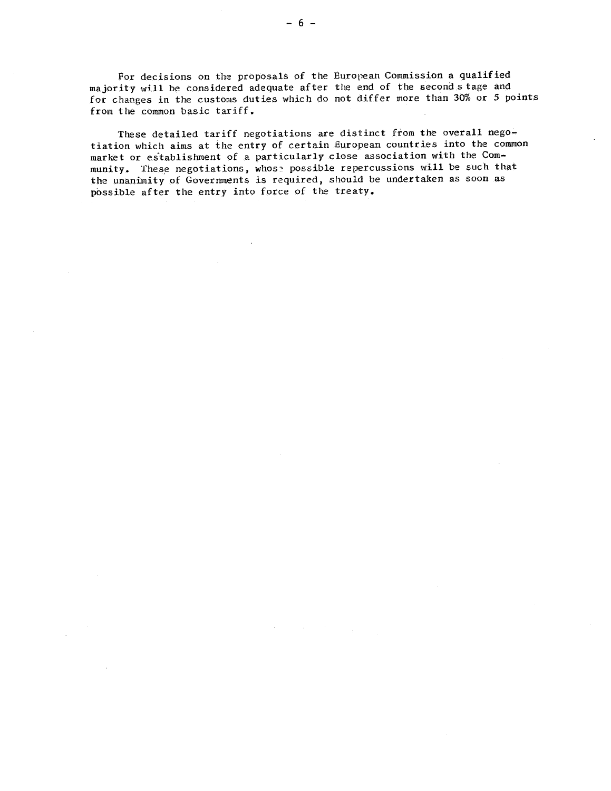For decisions on the proposals of the European Commission a qualified majority will be considered adequate after the end of the second stage and for changes in the customs duties which do not differ more than 30% or 5 points from the common basic tariff.

These detailed tariff negotiations are distinct from the overall negotiation which aims at the entry of certain European countries into the common market or establishment of a particularly close association with the Community. These negotiations, whose possible repercussions will be such that the unanimity of Governments is required, should be undertaken as soon as possible after the entry into force of the treaty.

 $\mathcal{L}$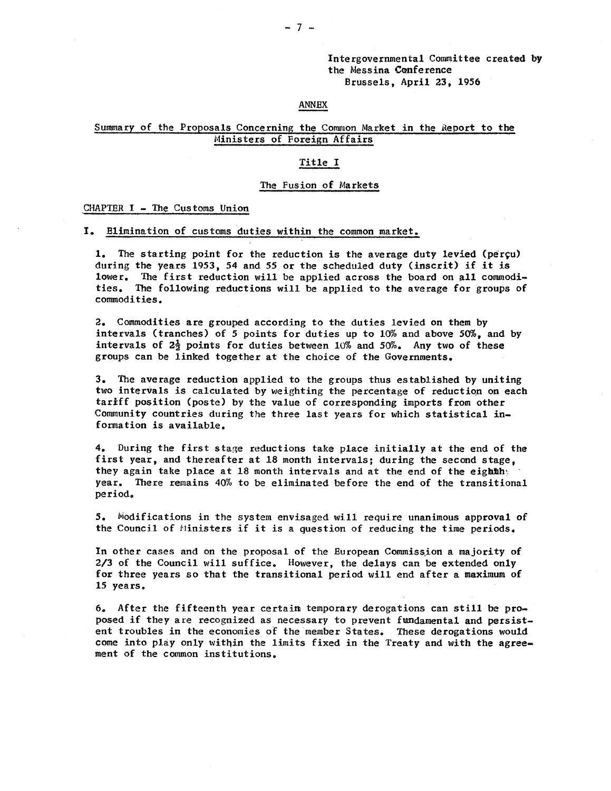#### ANNEX

# Summary of the Proposals Concerning the Common Market in the Report to the Ministers of Foreign Affairs

#### Title I

#### The Fusion of Markets

#### CHAPTER I - The Customs Union

#### Elimination of customs duties within the common market.

1. The starting point for the reduction is the average duty levied (perçu) during the years 1953, 54 and 55 or the scheduled duty (inscrit) if it is lower. The first reduction will be applied across the board on all commodities. The following reductions will be applied to the average for groups of commodities.

2. Commodities are grouped according to the duties levied on them by intervals (tranches) of 5 points for duties up to 10% and above 50% , and by intervals of  $2\frac{1}{2}$  points for duties between 10% and 50%. Any two of these groups can be linked together at the choice of the Governments.

3. The average reduction applied to the groups thus established by uniting two intervals is calculated by weighting the percentage of reduction on each tariff position (poste) by the value of corresponding imports from other Community countries during the three last years for which statistical information is available.

4. During the first stage reductions take place initially at the end of the first year, and thereafter at 18 month intervals; during the second stage. they again take place at 18 month intervals and at the end of the eighth. year. There remains 40% to be eliminated before the end of the transitional period.

5. Modifications in the system envisaged will require unanimous approval of the Council of Ninisters if it is a question of reducing the time periods.

In other cases and on the proposal of the European Commission a majority of  $2/3$  of the Council will suffice. However, the delays can be extended only for three years so that the transitional period will end after a maximum of 15 years.

6. After the fifteenth year certain temporary derogations can still be proposed if they are recognized as necessary to prevent fundamental and persistent troubles in the economies of the member States. These derogations would COme into play only within the limits fixed in the Treaty and with the agreement of the common institutions.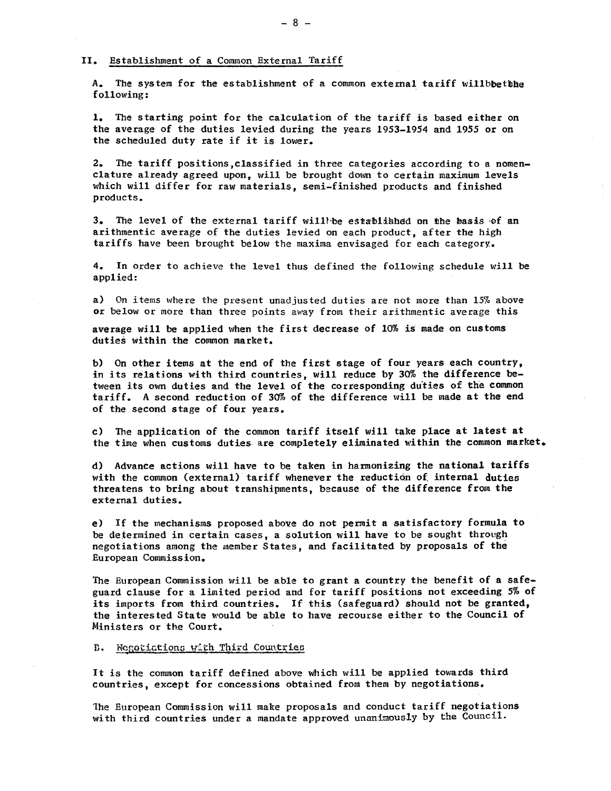#### II. Establishment of a Common External Tariff

A. The system for the establishment of a common external tariff willbbethhe following:

1. The starting point for the calculation of the tariff is based either on the average of the duties levied during the years 1953-1954 and 1955 or on the scheduled duty rate if it is lower.

2. The tariff positions, classified in three categories according to a nomenclature already agreed upon, will be brought down to certain maximum levels which will differ for raw materials, semi-finished products and finished products.

3. The level of the external tariff will be established on the basis of an arithmentic average of the duties levied on each product, after the high tariffs have been brought below the maxima envisaged for each category.

4. In order to achieve the level thus de fined the following schedule will be applied:

a) On items where the present unadjusted duties are not more than 15% above or below or more than three points away from their arithmentic average this

average will be applied when the first decrease of 10% is made on customs duties within the Common market.

b) On other items at the end of the first stage of four years each country, in its relations with third countries, will reduce by 30% the difference between its own duties and the level of the corresponding duties of the common tariff. A second reduction of 30% of the difference will be made at the end of the second stage of four years.

c) The application of the common tariff itself will take place at latest at the time when customs duties are completely eliminated within the common market.

d) Advance actions will have to be taken in harmonizing the national tariffs with the common (external) tariff whenever the reduction of internal duties threatens to bring about transhipments, because of the difference from the external duties.

e) If the mechanisms proposed above do not permit a satisfactory formula to be determined in certain cases , a solution will have to be sought through negotiations among the member States, and facilitated by proposals of the European Commission.

The European Commission will be able to grant a country the benefit of a safeguard clause for a limited period and for tariff positions not exceeding 5% of its imports from third countries. If this (safeguard) should not be granted, the interested State would be able to have recourse either to the Council of Ministers Or the Court.

B. Negotiations with Third Countries

It is the common tariff defined above which will be applied towards third countries , except for concessions obtained from them by negotiations.

1he European Commission will make proposals and conduct tariff negotiations with third countries under a mandate approved unanimously by the Council.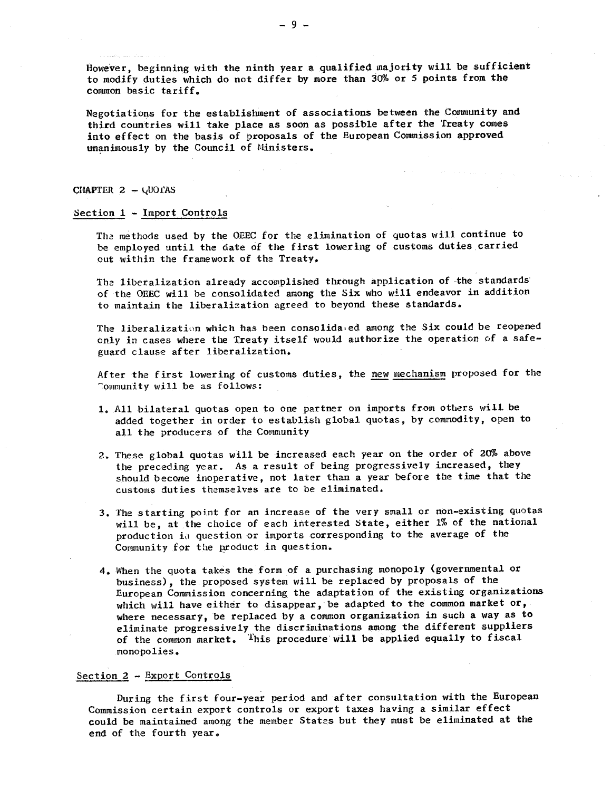However, beginning with the ninth year a qualified majority will be sufficient to modify duties which do net differ by more than 30% or 5 points from the common basic tariff.

Negotiations for the establishment of associations between the Community and third countries will take place as soon as possible after the Treaty comes into effect on the basis of proposals of the European Commission approved unanimously by the Council of Ministers.

#### CHAPTER  $2 - \sqrt{U}$ Oras

#### Section  $1$  - Import Controls

The methods used by the OEEC for the elimination of quotas will continue to be employed until the date of the first lowering of customs duties carried out within the framework of the Treaty.

The liberalization already accomplished through application of -the standards of the OEEC will be consolidated among the Six who will endeavor in addition to maintain the liberalization agreed to beyond these standards.

The liberalization which has been consolida.ed among the Six could be reopened only in cases where the Treaty itself would authorize the operation of a safeguard clause after liberalization.

After the first lowering of customs duties, the new mechanism proposed for the "Community will be as follows:

- 1. All bilateral quotas open to one partner on imports from others will be added together in order to establish global quotas, by commodity, open to all the producers of the Community
- 2. These global quotas will be increased each year on the order of 20% above the preceding year. As a result of being progressively increased, they should become inoperative, not later than a year before the time that the customs duties themselves are to be eliminated.
- 3. The starting point for an increase of the very small or non-existing quotas will be, at the choice of each interested State, either 1% of the national production in question or imports corresponding to the average of the Community for the product in question.
- 4. When the quota takes the form of a purchasing monopoly (governmental Or business) , the. proposed system will be replaced by proposals of the European Commission concerning the adaptation of the existing organizations which will have either to disappear, be adapted to the common market or, where necessary, be replaced by a common organization in such a way as to eliminate progressively the discriminations among the different suppliers of the common market. This procedure will be applied equally to fiscal monopolies.

#### Section 2 - Export Controls

During the first four-year period and after consultation with the European Commission certain export controls or export taxes having a similar effect could be maintained among the member States but they must be eliminated at the end of the fourth year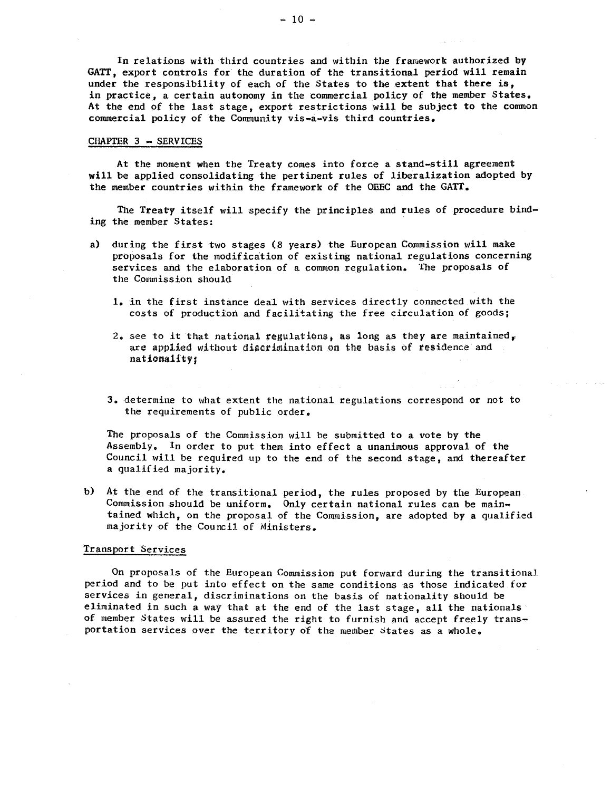In relations with third countries and within the framework authorized by GATT, export controls for the duration of the transitional period will remain under the responsibility of each of the States to the extent that there is, in practice, a certain autonomy in the commercial policy of the member States. At the end of the last stage, export restrictions will be subject to the common commercial policy of the Community vis-a-vis third countries.

#### $CIIAPTER$  3  $-$  SERVICES

At the moment when the Treaty comes into force a stand-still agreement will be applied consolidating the pertinent rules of liberalization adopted by the member countries within the framework of the OEEC and the GATT.

The Treaty itself will specify the principles and rules of procedure binding the member States:

- a) during the first two stages (8 years) the European Commission will make proposals for the modification of existing national regulations concerning services and the elaboration of a common regulation. The proposals of the Commission should
	- 1. in the first instance deal with services directly connected with the costs of production and facilitating the free circulation of goods;
	- 2. see to it that national regulations, as long as they are maintained, are applied without discrimination on the basis of residence and nationality;
	- 3. determine to what extent the national regulations correspond or not to the requirements of public order

The proposals of the Commission will be submitted to a vote by the Assembly. In order to put them into effect a unanimous approval of the Council will be required up to the end of the second stage, and thereafter a qualified majority.

At the end of the transitional period, the rules proposed by the European Commission should be uniform. Only certain national rules can be maintained which, on the proposal of the Commission, are adopted by a qualified majority of the Council of Ministers.

#### Transport Services

On proposals of the European Commission put forward during the transitional period and to be put into effect on the same conditions as those indicated for services in general, discriminations on the basis of nationality should be eliminated in such a way that at the end of the last stage, all the nationals of member States will be assured the right to furnish and accept freely transportation services over the territory of the member states as a whole.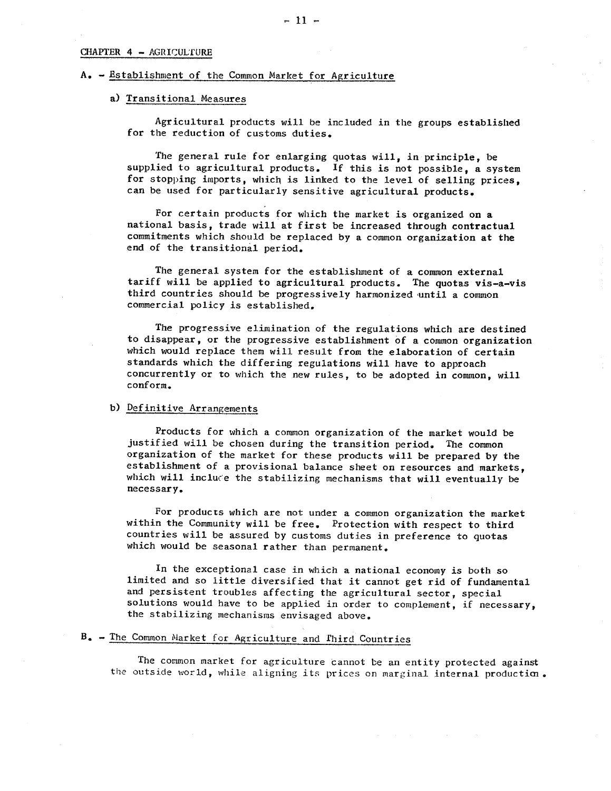#### CHAPTER 4 - AGRICULfURE

#### A. - Establishment of the Common Market for Agriculture

# a) Transitional Measures

Agricultural products will be included in the groups established for the reduction of customs duties.

The general rule for enlarging quotas will, in principle, be supplied to agricultural products. If this is not possible, a system for stopping imports, which is linked to the level of selling prices, can be used for particularly sensitive agricultural products.

For certain products for which the market is organized on a national basis, trade will at first be increased through contractual commitments which should be replaced by a common organization at the end of the transitional period.

The general system for the establishment of a common external tariff will be applied to agricultural products. The quotas vis-a-vis third countries should be progressively harmonized 'until a common commercial policy is established.

The progressive elimination of the regulations which are destined to disappear , or the progressive establishment of a COmmon organization which would replace them will result from the elaboration of certain standards which the differing regulations will have to approach concurrently or to which the new rules, to be adopted in common, will conf orm.

#### b) Definitive Arrangements

Products for which a common organization of the market would be justified will be chosen during the transition period. The common organization of the market for these products will be prepared by the establishment of a provisional balance sheet on resources and markets, which will include the stabilizing mechanisms that will eventually be necessary.

For products which are not under a common organization the market within the Community will be free. Protection with respect to third countries will be assured by customs duties in preference to quotas which would be seasonal rather than permanent.

In the exceptional case in which a national economy is both so limited and so little diversified that it cannot get rid of fundamental and persistent troubles affecting the agricultural sector, special solutions would have to be applied in order to complement, if necessary, the stabilizing mechanisms envisaged above.

# B. - The Common Market for Agriculture and Third Countries

The common market for agriculture cannot be an entity protected against the outside world, while aligning its prices on marginal internal production.